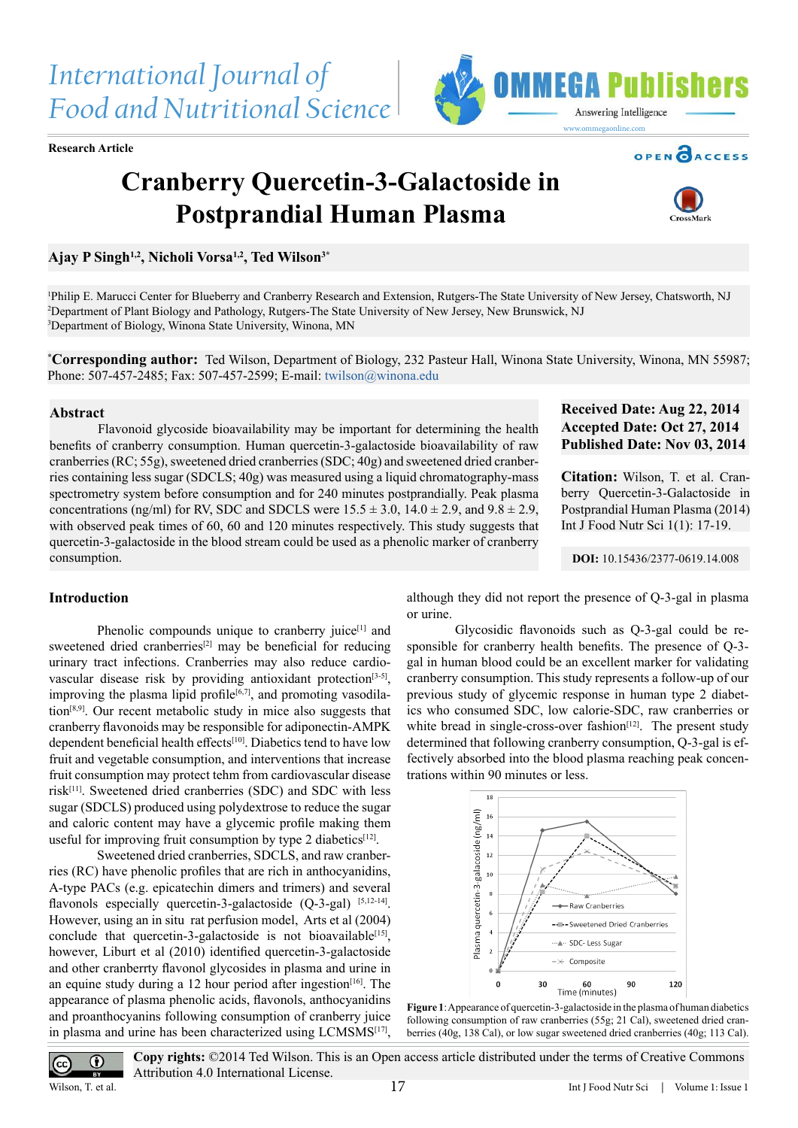**Research Article**

# **Cranberry Quercetin-3-Galactoside in Postprandial Human Plasma**

**Ajay P Singh1,2, Nicholi Vorsa1,2, Ted Wilson3\***



**OPEN CACCESS** 

1 Philip E. Marucci Center for Blueberry and Cranberry Research and Extension, Rutgers-The State University of New Jersey, Chatsworth, NJ 2 Department of Plant Biology and Pathology, Rutgers-The State University of New Jersey, New Brunswick, NJ 3 Department of Biology, Winona State University, Winona, MN

**\* Corresponding author:** Ted Wilson, Department of Biology, 232 Pasteur Hall, Winona State University, Winona, MN 55987; Phone: 507-457-2485; Fax: 507-457-2599; E-mail: [twilson@winona.edu](mailto:twilson%40winona.edu?subject=)

#### **Abstract**

Flavonoid glycoside bioavailability may be important for determining the health benefits of cranberry consumption. Human quercetin-3-galactoside bioavailability of raw cranberries (RC; 55g), sweetened dried cranberries (SDC; 40g) and sweetened dried cranberries containing less sugar (SDCLS; 40g) was measured using a liquid chromatography-mass spectrometry system before consumption and for 240 minutes postprandially. Peak plasma concentrations (ng/ml) for RV, SDC and SDCLS were  $15.5 \pm 3.0$ ,  $14.0 \pm 2.9$ , and  $9.8 \pm 2.9$ , with observed peak times of 60, 60 and 120 minutes respectively. This study suggests that quercetin-3-galactoside in the blood stream could be used as a phenolic marker of cranberry consumption.

# **Received Date: Aug 22, 2014 Accepted Date: Oct 27, 2014 Published Date: Nov 03, 2014**

**Citation:** Wilson, T. et al. Cranberry Quercetin-3-Galactoside in Postprandial Human Plasma (2014) Int J Food Nutr Sci 1(1): 17-19.

**DOI:** [10.15436/2377-0619.14.008](http://www.dx.doi.org/10.15436/2377-0619.14.008)

## **Introduction**

Phenolic compounds unique to cranberry juice<sup>[1]</sup> and sweetened dried cranberries<sup>[\[2\]](#page-2-1)</sup> may be beneficial for reducing urinary tract infections. Cranberries may also reduce cardiovascular disease risk by providing antioxidant protection<sup>[3-5]</sup>, improving the plasma lipid profile<sup>[\[6,7\]](#page-2-3)</sup>, and promoting vasodilation[\[8,9\]](#page-2-4). Our recent metabolic study in mice also suggests that cranberry flavonoids may be responsible for adiponectin-AMPK dependent beneficial health effects<sup>[10]</sup>. Diabetics tend to have low fruit and vegetable consumption, and interventions that increase fruit consumption may protect tehm from cardiovascular disease risk[\[11\].](#page-2-6) Sweetened dried cranberries (SDC) and SDC with less sugar (SDCLS) produced using polydextrose to reduce the sugar and caloric content may have a glycemic profile making them useful for improving fruit consumption by type 2 diabetics $[12]$ .

Sweetened dried cranberries, SDCLS, and raw cranberries (RC) have phenolic profiles that are rich in anthocyanidins, A-type PACs (e.g. epicatechin dimers and trimers) and several flavonols especially quercetin-3-galactoside (Q-3-gal) [\[5,12-14\]](#page-2-7). However, using an in situ rat perfusion model, Arts et al (2004) conclude that quercetin-3-galactoside is not bioavailable<sup>[15]</sup>, however, Liburt et al (2010) identified quercetin-3-galactoside and other cranberrty flavonol glycosides in plasma and urine in an equine study during a 12 hour period after ingestion $[16]$ . The appearance of plasma phenolic acids, flavonols, anthocyanidins and proanthocyanins following consumption of cranberry juice in plasma and urine has been characterized using LCMSMS<sup>[17]</sup>,

although they did not report the presence of Q-3-gal in plasma or urine.

Glycosidic flavonoids such as Q-3-gal could be responsible for cranberry health benefits. The presence of Q-3 gal in human blood could be an excellent marker for validating cranberry consumption. This study represents a follow-up of our previous study of glycemic response in human type 2 diabetics who consumed SDC, low calorie-SDC, raw cranberries or white bread in single-cross-over fashion $[12]$ . The present study determined that following cranberry consumption, Q-3-gal is effectively absorbed into the blood plasma reaching peak concentrations within 90 minutes or less.





**Copy rights:** ©2014 Ted Wilson. This is an Open access article distributed under the terms of Creative Commons Attribution 4.0 International License.

Wilson, T. et al.

 $\overline{cc}$ 

 $\odot$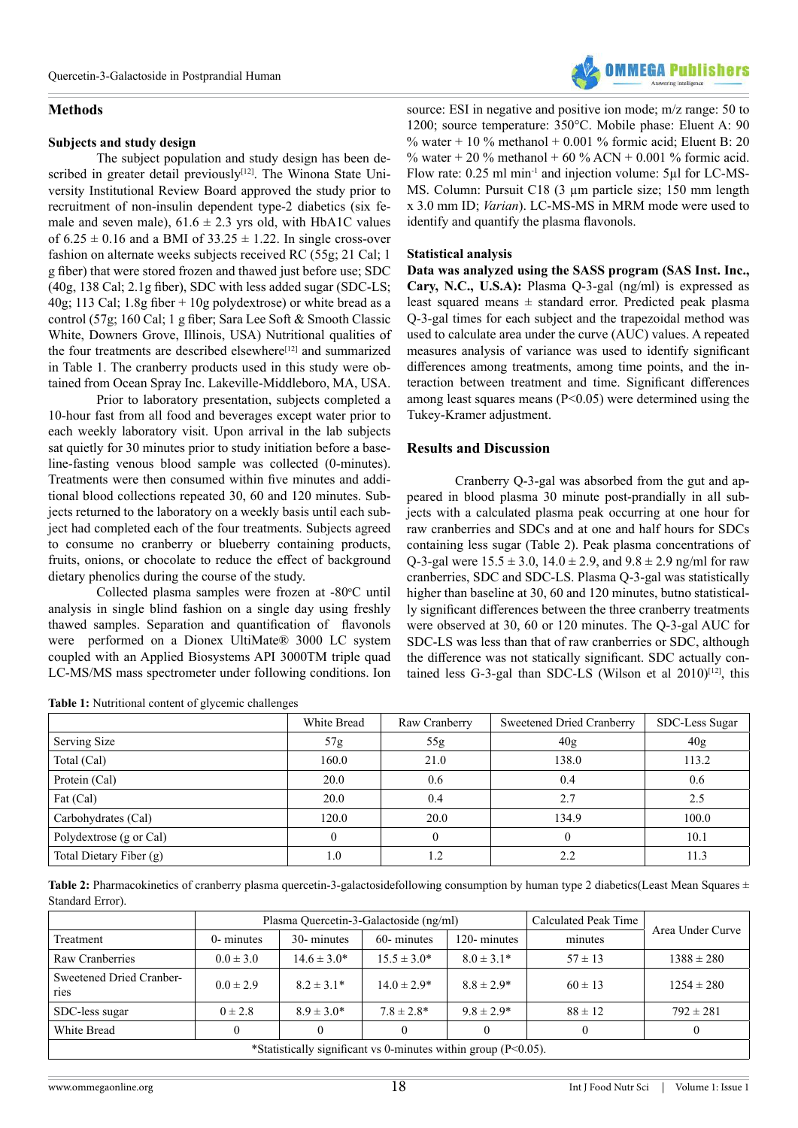## **Methods**

#### **Subjects and study design**

The subject population and study design has been de-scribed in greater detail previously<sup>[\[12\]](#page-2-7)</sup>. The Winona State University Institutional Review Board approved the study prior to recruitment of non-insulin dependent type-2 diabetics (six female and seven male),  $61.6 \pm 2.3$  yrs old, with HbA1C values of  $6.25 \pm 0.16$  and a BMI of  $33.25 \pm 1.22$ . In single cross-over fashion on alternate weeks subjects received RC (55g; 21 Cal; 1 g fiber) that were stored frozen and thawed just before use; SDC (40g, 138 Cal; 2.1g fiber), SDC with less added sugar (SDC-LS; 40g; 113 Cal; 1.8g fiber + 10g polydextrose) or white bread as a control (57g; 160 Cal; 1 g fiber; Sara Lee Soft & Smooth Classic White, Downers Grove, Illinois, USA) Nutritional qualities of the four treatments are described elsewhere<sup>[12]</sup> and summarized in Table 1. The cranberry products used in this study were obtained from Ocean Spray Inc. Lakeville-Middleboro, MA, USA.

Prior to laboratory presentation, subjects completed a 10-hour fast from all food and beverages except water prior to each weekly laboratory visit. Upon arrival in the lab subjects sat quietly for 30 minutes prior to study initiation before a baseline-fasting venous blood sample was collected (0-minutes). Treatments were then consumed within five minutes and additional blood collections repeated 30, 60 and 120 minutes. Subjects returned to the laboratory on a weekly basis until each subject had completed each of the four treatments. Subjects agreed to consume no cranberry or blueberry containing products, fruits, onions, or chocolate to reduce the effect of background dietary phenolics during the course of the study.

Collected plasma samples were frozen at -80°C until analysis in single blind fashion on a single day using freshly thawed samples. Separation and quantification of flavonols were performed on a Dionex UltiMate® 3000 LC system coupled with an Applied Biosystems API 3000TM triple quad LC-MS/MS mass spectrometer under following conditions. Ion

| Table 1: Nutritional content of glycemic challenges |  |
|-----------------------------------------------------|--|
|-----------------------------------------------------|--|



#### **Statistical analysis**

**Data was analyzed using the SASS program (SAS Inst. Inc., Cary, N.C., U.S.A):** Plasma Q-3-gal (ng/ml) is expressed as least squared means  $\pm$  standard error. Predicted peak plasma Q-3-gal times for each subject and the trapezoidal method was used to calculate area under the curve (AUC) values. A repeated measures analysis of variance was used to identify significant differences among treatments, among time points, and the interaction between treatment and time. Significant differences among least squares means (P<0.05) were determined using the Tukey-Kramer adjustment.

## **Results and Discussion**

Cranberry Q-3-gal was absorbed from the gut and appeared in blood plasma 30 minute post-prandially in all subjects with a calculated plasma peak occurring at one hour for raw cranberries and SDCs and at one and half hours for SDCs containing less sugar (Table 2). Peak plasma concentrations of Q-3-gal were  $15.5 \pm 3.0$ ,  $14.0 \pm 2.9$ , and  $9.8 \pm 2.9$  ng/ml for raw cranberries, SDC and SDC-LS. Plasma Q-3-gal was statistically higher than baseline at 30, 60 and 120 minutes, butno statistically significant differences between the three cranberry treatments were observed at 30, 60 or 120 minutes. The Q-3-gal AUC for SDC-LS was less than that of raw cranberries or SDC, although the difference was not statically significant. SDC actually contained less G-3-gal than SDC-LS (Wilson et al  $2010$ )<sup>[12]</sup>, this

|                         | White Bread | Raw Cranberry | Sweetened Dried Cranberry | SDC-Less Sugar |
|-------------------------|-------------|---------------|---------------------------|----------------|
| Serving Size            | 57g         | 55g           | 40g                       | 40g            |
| Total (Cal)             | 160.0       | 21.0          | 138.0                     | 113.2          |
| Protein (Cal)           | 20.0        | 0.6           | 0.4                       | 0.6            |
| Fat (Cal)               | 20.0        | 0.4           | 2.7                       | 2.5            |
| Carbohydrates (Cal)     | 120.0       | 20.0          | 134.9                     | 100.0          |
| Polydextrose (g or Cal) | 0           | $\theta$      |                           | 10.1           |
| Total Dietary Fiber (g) | 1.0         |               | 2.2                       | 11.3           |

Table 2: Pharmacokinetics of cranberry plasma quercetin-3-galactosidefollowing consumption by human type 2 diabetics(Least Mean Squares  $\pm$ Standard Error).

|                                                                 | Plasma Quercetin-3-Galactoside (ng/ml) |                  |                  |                | Calculated Peak Time | Area Under Curve |  |  |  |
|-----------------------------------------------------------------|----------------------------------------|------------------|------------------|----------------|----------------------|------------------|--|--|--|
| Treatment                                                       | 0- minutes                             | 30- minutes      | 60- minutes      | 120-minutes    | minutes              |                  |  |  |  |
| Raw Cranberries                                                 | $0.0 \pm 3.0$                          | $14.6 \pm 3.0^*$ | $15.5 \pm 3.0^*$ | $8.0 \pm 3.1*$ | $57 \pm 13$          | $1388 \pm 280$   |  |  |  |
| Sweetened Dried Cranber-<br><b>ries</b>                         | $0.0 \pm 2.9$                          | $8.2 \pm 3.1*$   | $14.0 \pm 2.9*$  | $8.8 \pm 2.9*$ | $60 \pm 13$          | $1254 \pm 280$   |  |  |  |
| SDC-less sugar                                                  | $0 \pm 2.8$                            | $8.9 \pm 3.0^*$  | $7.8 \pm 2.8^*$  | $9.8 \pm 2.9*$ | $88 \pm 12$          | $792 \pm 281$    |  |  |  |
| White Bread                                                     |                                        |                  |                  |                |                      |                  |  |  |  |
| *Statistically significant vs 0-minutes within group $(P<0.05)$ |                                        |                  |                  |                |                      |                  |  |  |  |

\*Statistically significant vs 0-minutes within group (P<0.05).